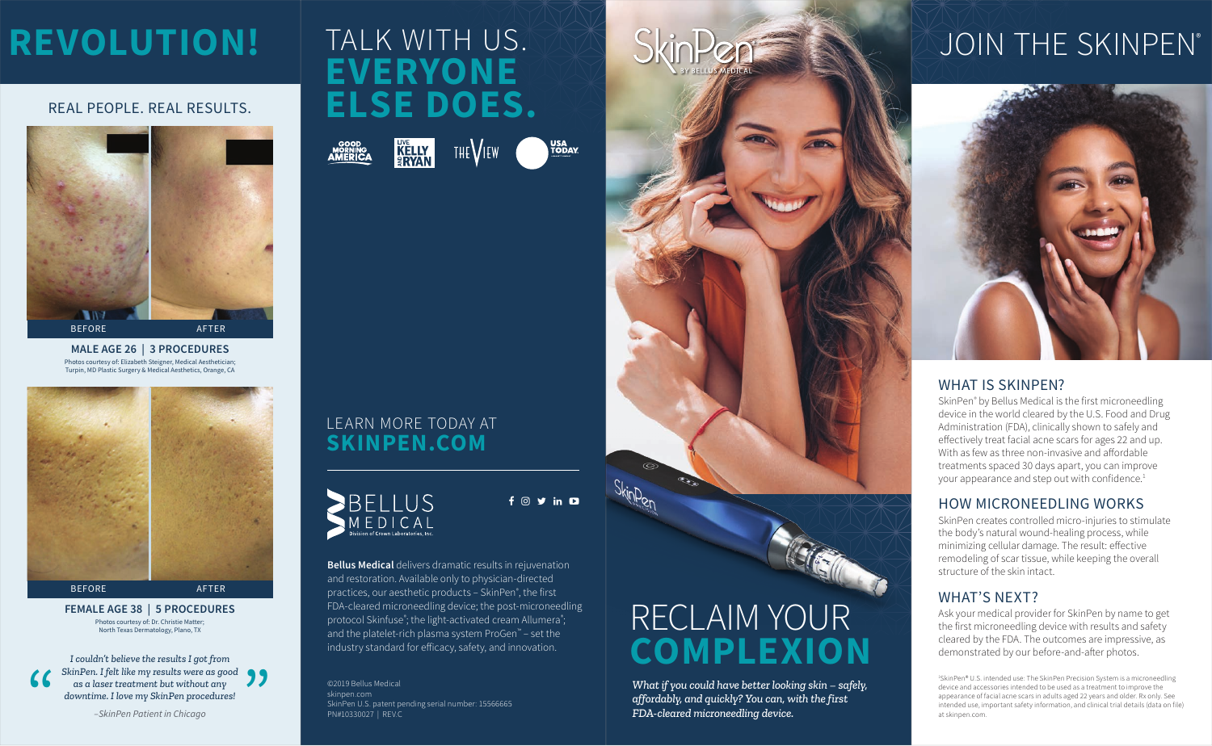### LEARN MORE TODAY AT **SKINPEN.COM**

**Bellus Medical** delivers dramatic results in rejuvenation and restoration. Available only to physician-directed practices, our aesthetic products – SkinPen® , the first FDA-cleared microneedling device; the post-microneedling protocol Skinfuse<sup>®</sup>; the light-activated cream Allumera<sup>®</sup>; and the platelet-rich plasma system ProGen™ – set the industry standard for efficacy, safety, and innovation.



 $f$   $\odot$   $\prime$  in  $\Box$ 

©2019 Bellus Medical skinpen.com SkinPen U.S. patent pending serial number: 15566665 PN#10330027 | REV.C

SkinPen® by Bellus Medical is the first microneedling device in the world cleared by the U.S. Food and Drug Administration (FDA), clinically shown to safely and effectively treat facial acne scars for ages 22 and up. With as few as three non-invasive and affordable treatments spaced 30 days apart, you can improve your appearance and step out with confidence.<sup>1</sup>

Photos courtesy of: Elizabeth Steigner, Medical Aesthetician; Turpin, MD Plastic Surgery & Medical Aesthetics, Orange, CA **MALE AGE 26 | 3 PROCEDURES**



#### Photos courtesy of: Dr. Christie Matter; North Texas Dermatology, Plano, TX **FEMALE AGE 38 | 5 PROCEDURES**



Ask your medical provider for SkinPen by name to get the first microneedling device with results and safety cleared by the FDA. The outcomes are impressive, as demonstrated by our before-and-after photos.

*I couldn't believe the results I got from*  SkinPen. I felt like my results were as good<br>
as a laser treatment but without any<br>
downtime. I love my SkinPen procedures!<br>
-SkinPen Patient in Chicago *as a laser treatment but without any downtime. I love my SkinPen procedures!*

*–SkinPen Patient in Chicago*

### WHAT IS SKINPEN?

### HOW MICRONEEDLING WORKS

SkinPen creates controlled micro-injuries to stimulate the body's natural wound-healing process, while minimizing cellular damage. The result: effective remodeling of scar tissue, while keeping the overall structure of the skin intact.

### WHAT'S NEXT?

#### REAL PEOPLE. REAL RESULTS.

1 SkinPen® U.S. intended use: The SkinPen Precision System is a microneedling device and accessories intended to be used as a treatment to improve the appearance of facial acne scars in adults aged 22 years and older. Rx only. See intended use, important safety information, and clinical trial details (data on file) at skinpen.com.

## **REVOLUTION!**

*What if you could have better looking skin – safely, affordably, and quickly? You can, with the first FDA-cleared microneedling device.*

## TALK WITH US. SkinPen SkinPens State DUOIN THE SKINPEN®



### RECLAIM YOUR **COMPLEXION**

# **EVERYONE ELSE DOES.**

THE VIEW





**USA<br>TODAY**